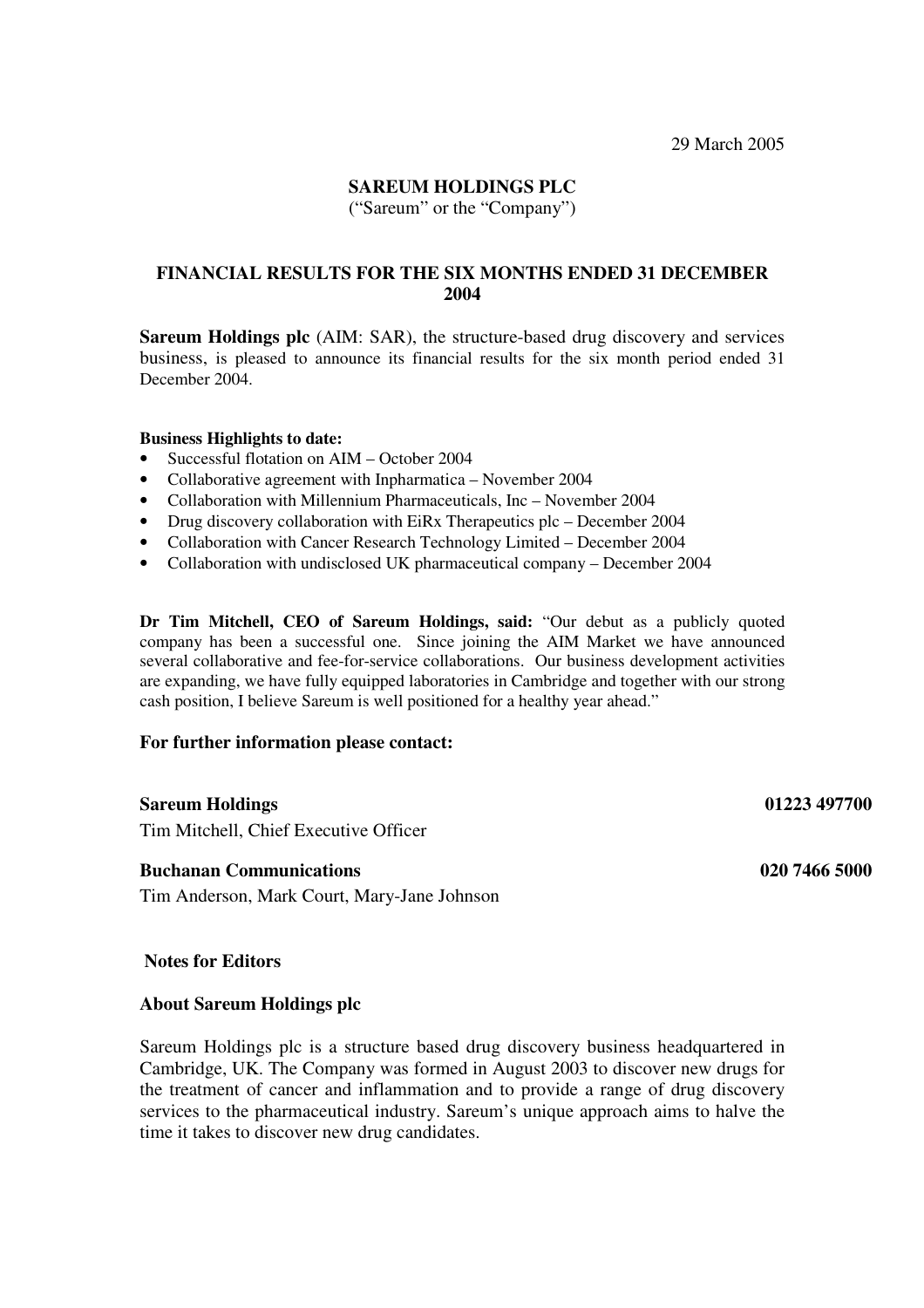## **SAREUM HOLDINGS PLC**

("Sareum" or the "Company")

## **FINANCIAL RESULTS FOR THE SIX MONTHS ENDED 31 DECEMBER 2004**

**Sareum Holdings plc** (AIM: SAR), the structure-based drug discovery and services business, is pleased to announce its financial results for the six month period ended 31 December 2004.

#### **Business Highlights to date:**

- Successful flotation on AIM October 2004
- Collaborative agreement with Inpharmatica November 2004
- Collaboration with Millennium Pharmaceuticals, Inc November 2004
- Drug discovery collaboration with EiRx Therapeutics plc December 2004
- Collaboration with Cancer Research Technology Limited December 2004
- Collaboration with undisclosed UK pharmaceutical company December 2004

**Dr Tim Mitchell, CEO of Sareum Holdings, said:** "Our debut as a publicly quoted company has been a successful one. Since joining the AIM Market we have announced several collaborative and fee-for-service collaborations. Our business development activities are expanding, we have fully equipped laboratories in Cambridge and together with our strong cash position, I believe Sareum is well positioned for a healthy year ahead."

#### **For further information please contact:**

#### **Sareum Holdings 01223 497700**

Tim Mitchell, Chief Executive Officer

#### **Buchanan Communications 020 7466 5000**

Tim Anderson, Mark Court, Mary-Jane Johnson

#### **Notes for Editors**

#### **About Sareum Holdings plc**

Sareum Holdings plc is a structure based drug discovery business headquartered in Cambridge, UK. The Company was formed in August 2003 to discover new drugs for the treatment of cancer and inflammation and to provide a range of drug discovery services to the pharmaceutical industry. Sareum's unique approach aims to halve the time it takes to discover new drug candidates.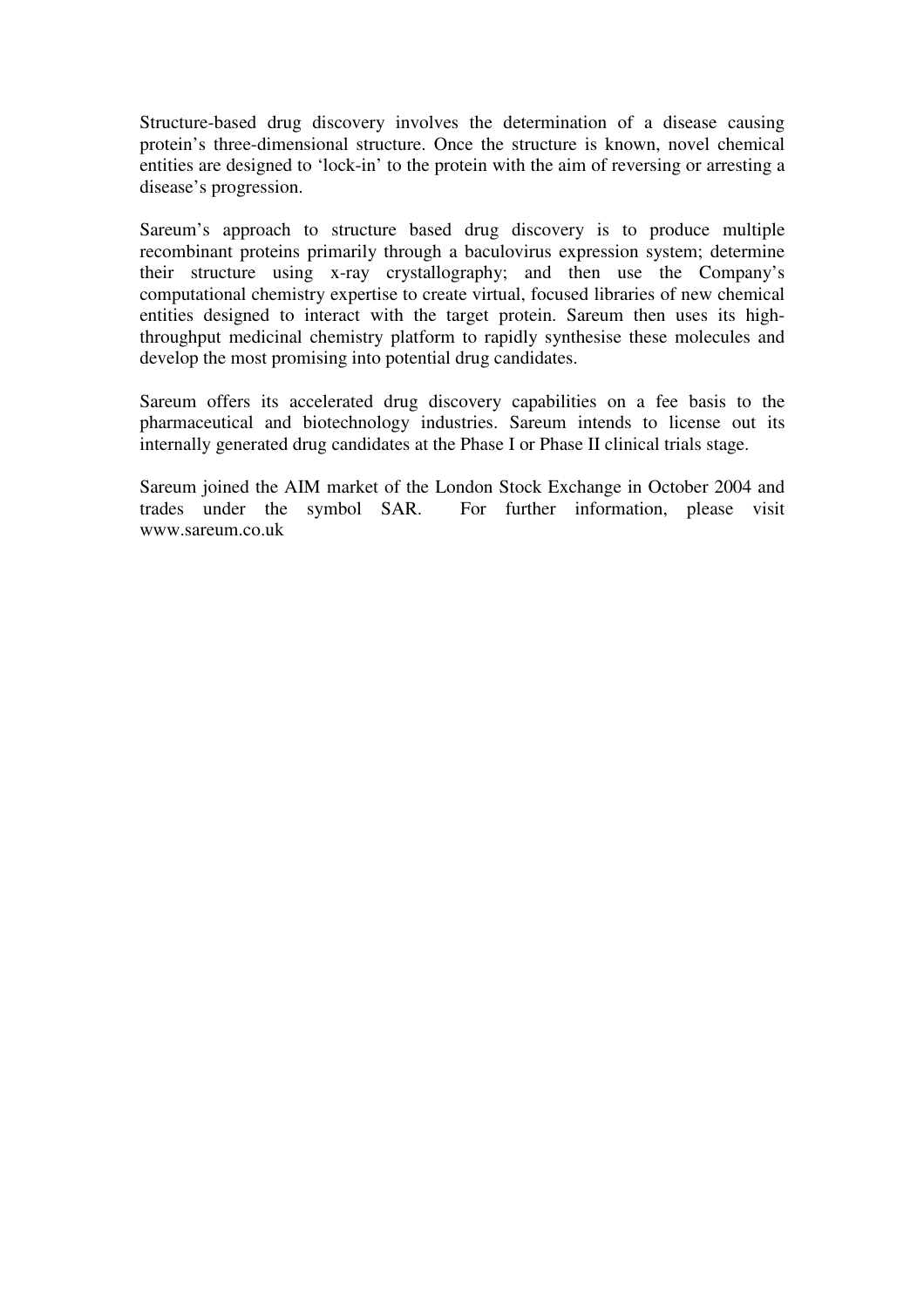Structure-based drug discovery involves the determination of a disease causing protein's three-dimensional structure. Once the structure is known, novel chemical entities are designed to 'lock-in' to the protein with the aim of reversing or arresting a disease's progression.

Sareum's approach to structure based drug discovery is to produce multiple recombinant proteins primarily through a baculovirus expression system; determine their structure using x-ray crystallography; and then use the Company's computational chemistry expertise to create virtual, focused libraries of new chemical entities designed to interact with the target protein. Sareum then uses its highthroughput medicinal chemistry platform to rapidly synthesise these molecules and develop the most promising into potential drug candidates.

Sareum offers its accelerated drug discovery capabilities on a fee basis to the pharmaceutical and biotechnology industries. Sareum intends to license out its internally generated drug candidates at the Phase I or Phase II clinical trials stage.

Sareum joined the AIM market of the London Stock Exchange in October 2004 and trades under the symbol SAR. For further information, please visit For further information, please visit www.sareum.co.uk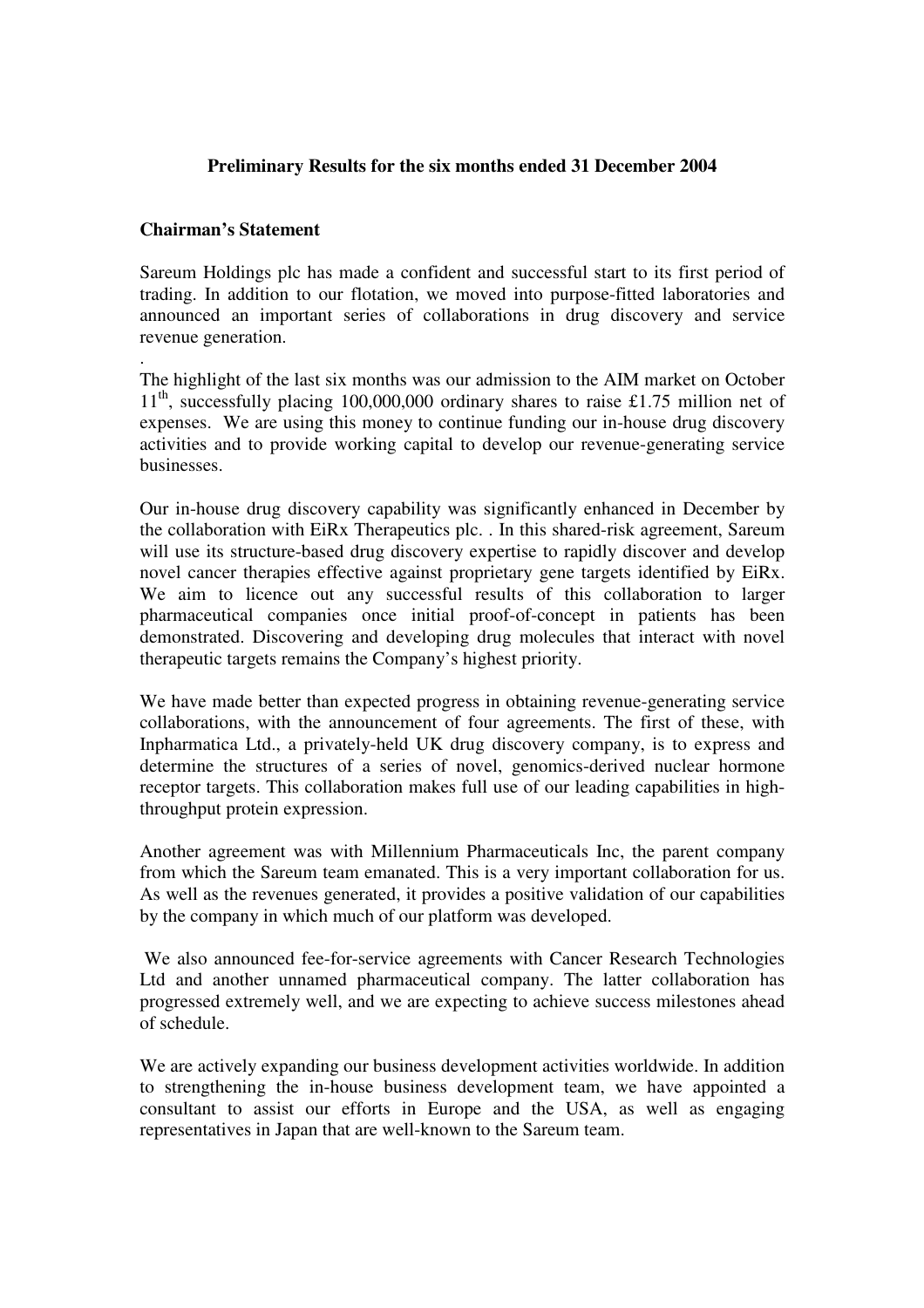## **Preliminary Results for the six months ended 31 December 2004**

## **Chairman's Statement**

Sareum Holdings plc has made a confident and successful start to its first period of trading. In addition to our flotation, we moved into purpose-fitted laboratories and announced an important series of collaborations in drug discovery and service revenue generation.

. The highlight of the last six months was our admission to the AIM market on October 11<sup>th</sup>, successfully placing 100,000,000 ordinary shares to raise £1.75 million net of expenses. We are using this money to continue funding our in-house drug discovery activities and to provide working capital to develop our revenue-generating service businesses.

Our in-house drug discovery capability was significantly enhanced in December by the collaboration with EiRx Therapeutics plc. . In this shared-risk agreement, Sareum will use its structure-based drug discovery expertise to rapidly discover and develop novel cancer therapies effective against proprietary gene targets identified by EiRx. We aim to licence out any successful results of this collaboration to larger pharmaceutical companies once initial proof-of-concept in patients has been demonstrated. Discovering and developing drug molecules that interact with novel therapeutic targets remains the Company's highest priority.

We have made better than expected progress in obtaining revenue-generating service collaborations, with the announcement of four agreements. The first of these, with Inpharmatica Ltd., a privately-held UK drug discovery company, is to express and determine the structures of a series of novel, genomics-derived nuclear hormone receptor targets. This collaboration makes full use of our leading capabilities in highthroughput protein expression.

Another agreement was with Millennium Pharmaceuticals Inc, the parent company from which the Sareum team emanated. This is a very important collaboration for us. As well as the revenues generated, it provides a positive validation of our capabilities by the company in which much of our platform was developed.

We also announced fee-for-service agreements with Cancer Research Technologies Ltd and another unnamed pharmaceutical company. The latter collaboration has progressed extremely well, and we are expecting to achieve success milestones ahead of schedule.

We are actively expanding our business development activities worldwide. In addition to strengthening the in-house business development team, we have appointed a consultant to assist our efforts in Europe and the USA, as well as engaging representatives in Japan that are well-known to the Sareum team.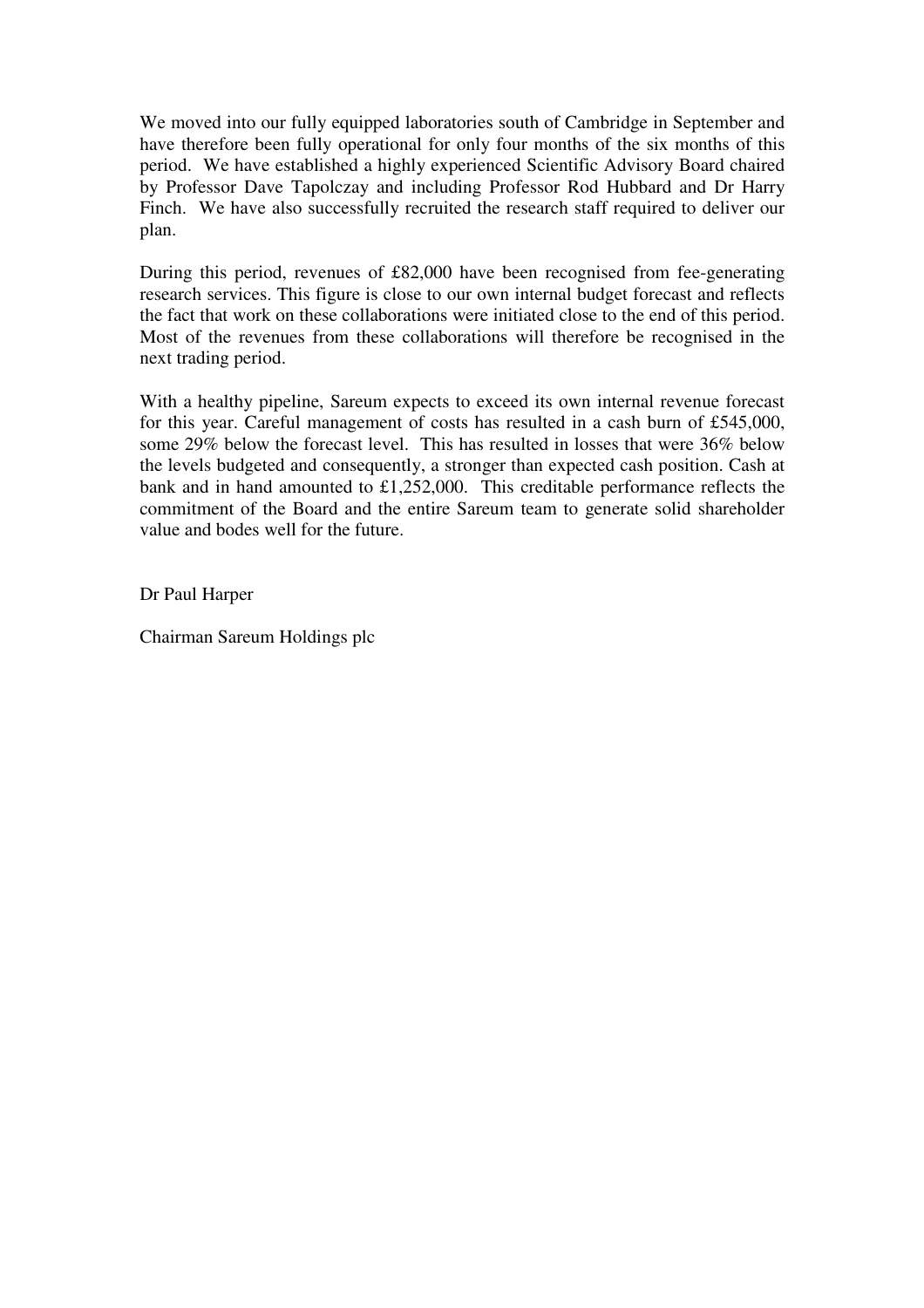We moved into our fully equipped laboratories south of Cambridge in September and have therefore been fully operational for only four months of the six months of this period. We have established a highly experienced Scientific Advisory Board chaired by Professor Dave Tapolczay and including Professor Rod Hubbard and Dr Harry Finch. We have also successfully recruited the research staff required to deliver our plan.

During this period, revenues of £82,000 have been recognised from fee-generating research services. This figure is close to our own internal budget forecast and reflects the fact that work on these collaborations were initiated close to the end of this period. Most of the revenues from these collaborations will therefore be recognised in the next trading period.

With a healthy pipeline, Sareum expects to exceed its own internal revenue forecast for this year. Careful management of costs has resulted in a cash burn of £545,000, some 29% below the forecast level. This has resulted in losses that were 36% below the levels budgeted and consequently, a stronger than expected cash position. Cash at bank and in hand amounted to £1,252,000. This creditable performance reflects the commitment of the Board and the entire Sareum team to generate solid shareholder value and bodes well for the future.

Dr Paul Harper

Chairman Sareum Holdings plc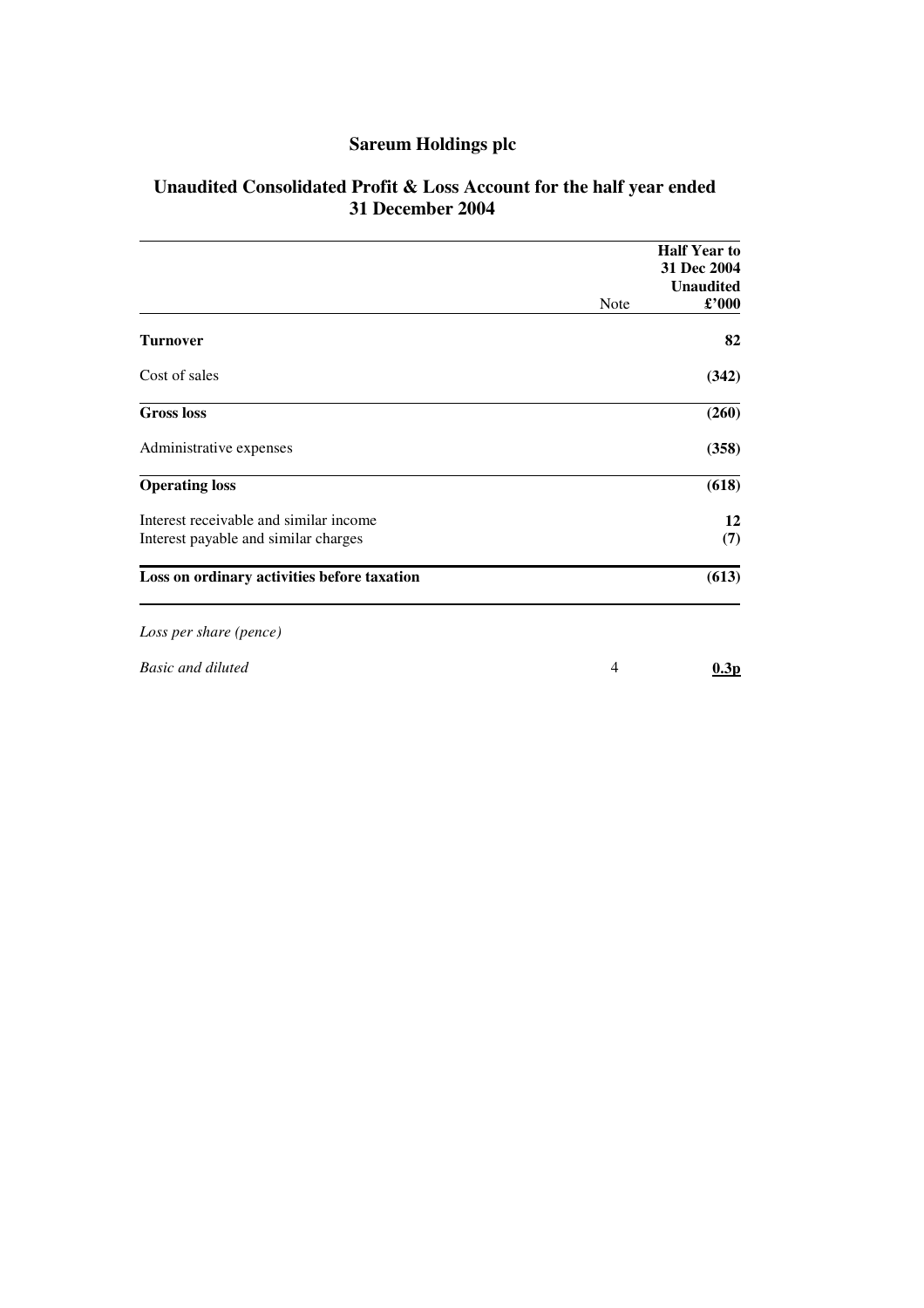# **Sareum Holdings plc**

| Unaudited Consolidated Profit & Loss Account for the half year ended |  |
|----------------------------------------------------------------------|--|
| 31 December 2004                                                     |  |

|                                             |      | <b>Half Year to</b><br>31 Dec 2004 |
|---------------------------------------------|------|------------------------------------|
|                                             |      | <b>Unaudited</b>                   |
|                                             | Note | $\pounds$ '000                     |
| <b>Turnover</b>                             |      | 82                                 |
| Cost of sales                               |      | (342)                              |
| <b>Gross loss</b>                           |      | (260)                              |
| Administrative expenses                     |      | (358)                              |
| <b>Operating loss</b>                       |      | (618)                              |
| Interest receivable and similar income      |      | 12                                 |
| Interest payable and similar charges        |      | (7)                                |
| Loss on ordinary activities before taxation |      | (613)                              |
| Loss per share (pence)                      |      |                                    |
| <b>Basic and diluted</b>                    | 4    | 0.3p                               |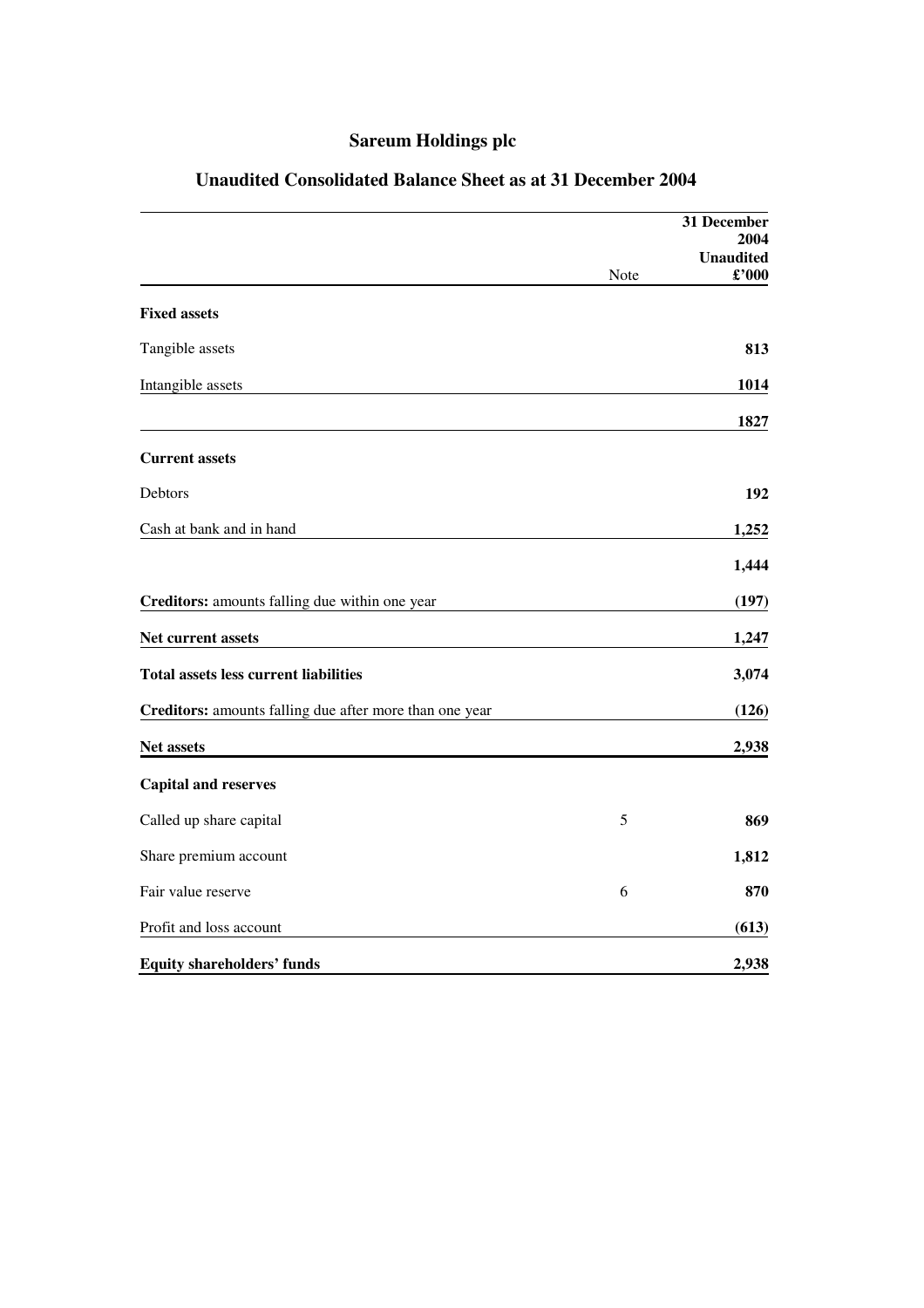# **Sareum Holdings plc**

|                                                         |      | 31 December      |
|---------------------------------------------------------|------|------------------|
|                                                         |      | 2004             |
|                                                         |      | <b>Unaudited</b> |
|                                                         | Note | £'000            |
| <b>Fixed assets</b>                                     |      |                  |
| Tangible assets                                         |      | 813              |
| Intangible assets                                       |      | 1014             |
|                                                         |      | 1827             |
| <b>Current assets</b>                                   |      |                  |
| Debtors                                                 |      | 192              |
| Cash at bank and in hand                                |      | 1,252            |
|                                                         |      | 1,444            |
| Creditors: amounts falling due within one year          |      | (197)            |
| Net current assets                                      |      | 1,247            |
| <b>Total assets less current liabilities</b>            |      | 3,074            |
| Creditors: amounts falling due after more than one year |      | (126)            |
| Net assets                                              |      | 2,938            |
| <b>Capital and reserves</b>                             |      |                  |
| Called up share capital                                 | 5    | 869              |
| Share premium account                                   |      | 1,812            |
| Fair value reserve                                      | 6    | 870              |
| Profit and loss account                                 |      | (613)            |
| <b>Equity shareholders' funds</b>                       |      | 2,938            |

# **Unaudited Consolidated Balance Sheet as at 31 December 2004**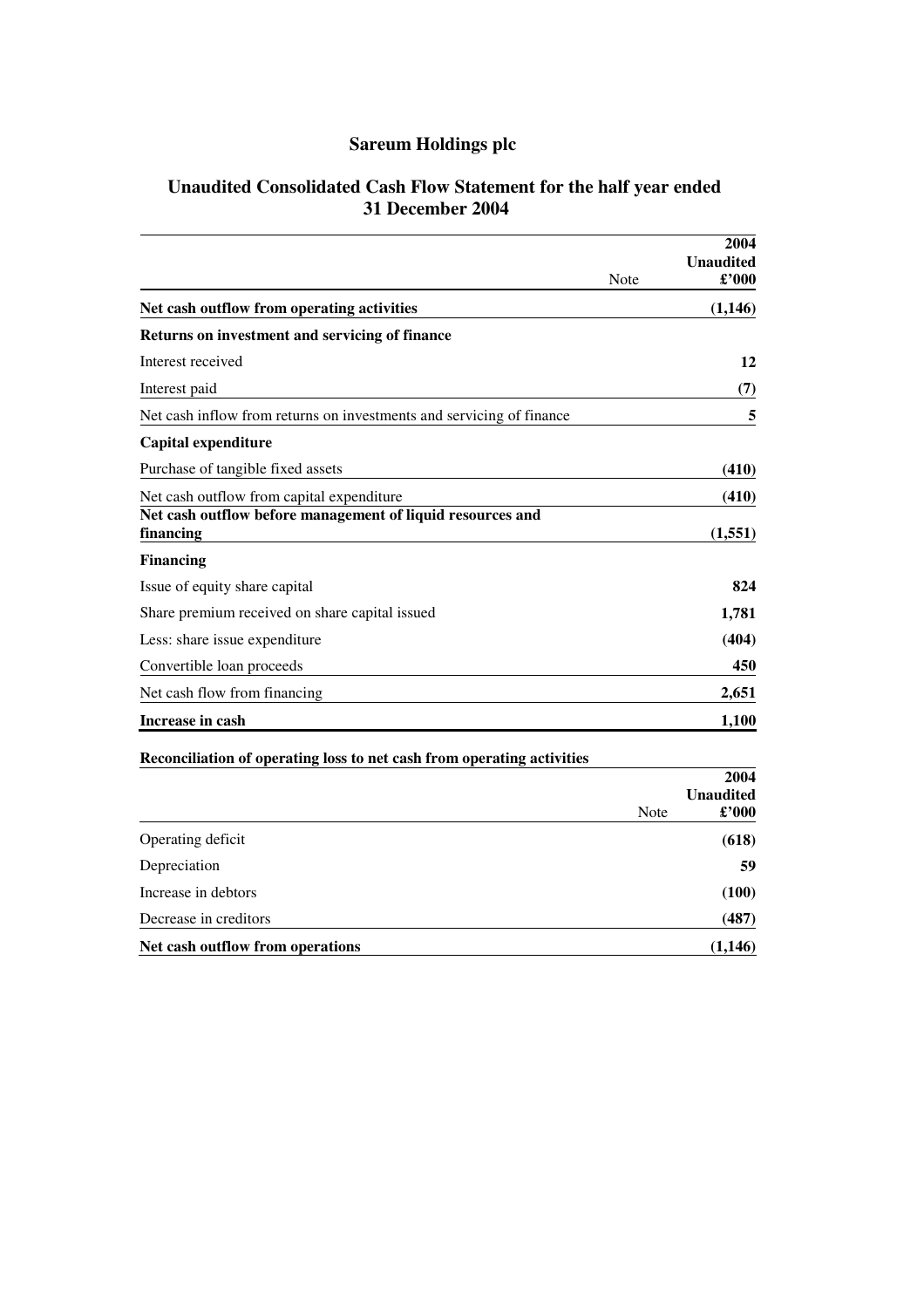# **Sareum Holdings plc**

## **Unaudited Consolidated Cash Flow Statement for the half year ended 31 December 2004**

|                                                                         |      | 2004<br><b>Unaudited</b><br>£'000  |
|-------------------------------------------------------------------------|------|------------------------------------|
|                                                                         | Note |                                    |
| Net cash outflow from operating activities                              |      | (1,146)                            |
| Returns on investment and servicing of finance                          |      |                                    |
| Interest received                                                       |      | 12                                 |
| Interest paid                                                           |      | (7)                                |
| Net cash inflow from returns on investments and servicing of finance    |      | 5                                  |
| <b>Capital expenditure</b>                                              |      |                                    |
| Purchase of tangible fixed assets                                       |      | (410)                              |
| Net cash outflow from capital expenditure                               |      | (410)                              |
| Net cash outflow before management of liquid resources and<br>financing |      | (1, 551)                           |
| <b>Financing</b>                                                        |      |                                    |
| Issue of equity share capital                                           |      | 824                                |
| Share premium received on share capital issued                          |      | 1,781                              |
| Less: share issue expenditure                                           |      | (404)                              |
| Convertible loan proceeds                                               |      | 450                                |
| Net cash flow from financing                                            |      | 2,651                              |
| Increase in cash                                                        |      | 1,100                              |
| Reconciliation of operating loss to net cash from operating activities  |      |                                    |
|                                                                         |      | 2004                               |
|                                                                         | Note | <b>Unaudited</b><br>$\pounds$ '000 |
| Operating deficit                                                       |      | (618)                              |
| Depreciation                                                            |      | 59                                 |
| Increase in debtors                                                     |      | (100)                              |
| Decrease in creditors                                                   |      | (487)                              |

**Net cash outflow from operations (1,146)**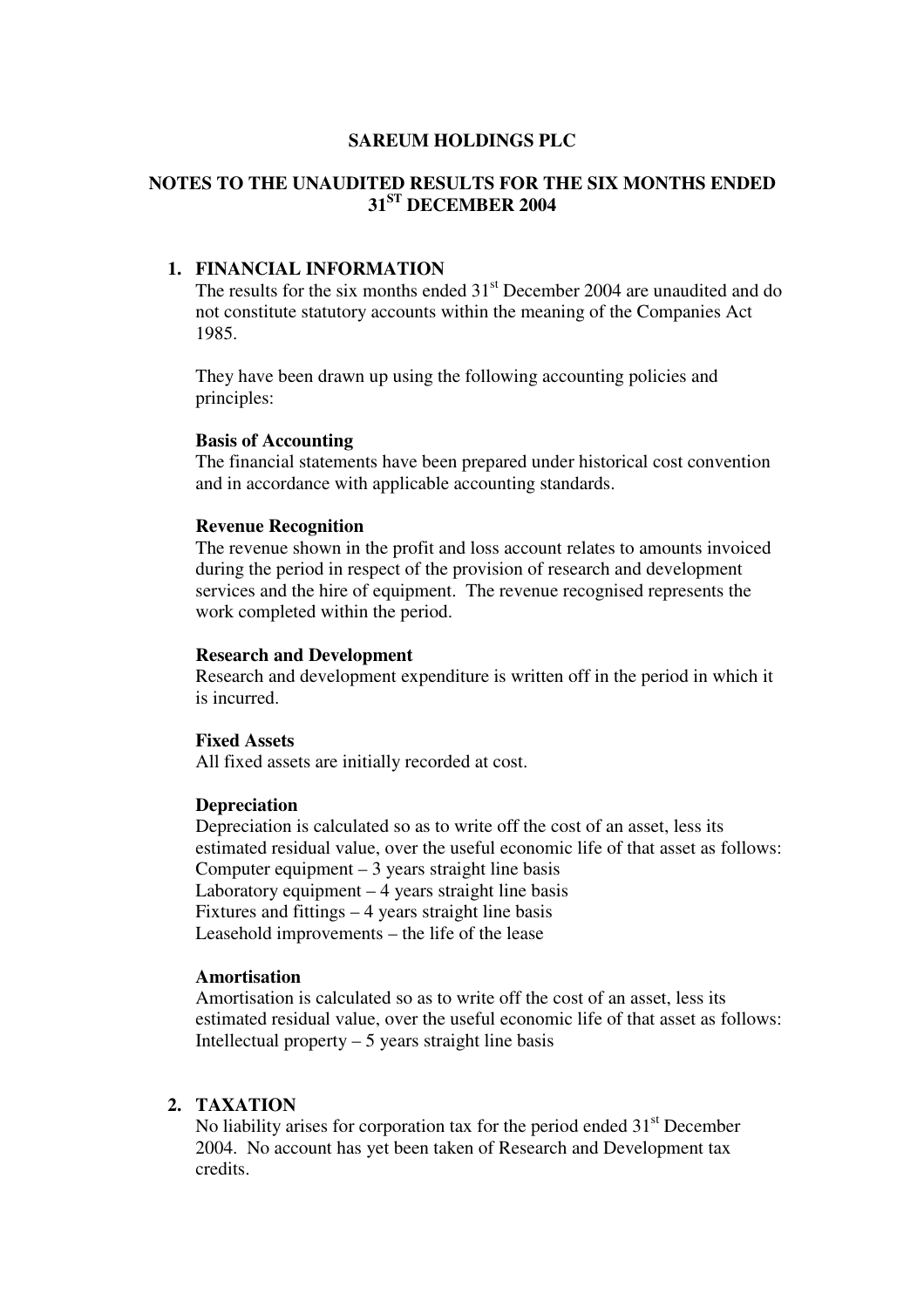### **SAREUM HOLDINGS PLC**

## **NOTES TO THE UNAUDITED RESULTS FOR THE SIX MONTHS ENDED 31 ST DECEMBER 2004**

## **1. FINANCIAL INFORMATION**

The results for the six months ended 31<sup>st</sup> December 2004 are unaudited and do not constitute statutory accounts within the meaning of the Companies Act 1985.

They have been drawn up using the following accounting policies and principles:

#### **Basis of Accounting**

The financial statements have been prepared under historical cost convention and in accordance with applicable accounting standards.

#### **Revenue Recognition**

The revenue shown in the profit and loss account relates to amounts invoiced during the period in respect of the provision of research and development services and the hire of equipment. The revenue recognised represents the work completed within the period.

#### **Research and Development**

Research and development expenditure is written off in the period in which it is incurred.

## **Fixed Assets**

All fixed assets are initially recorded at cost.

#### **Depreciation**

Depreciation is calculated so as to write off the cost of an asset, less its estimated residual value, over the useful economic life of that asset as follows: Computer equipment  $-3$  years straight line basis Laboratory equipment  $-4$  years straight line basis Fixtures and fittings – 4 years straight line basis Leasehold improvements – the life of the lease

#### **Amortisation**

Amortisation is calculated so as to write off the cost of an asset, less its estimated residual value, over the useful economic life of that asset as follows: Intellectual property  $-5$  years straight line basis

### **2. TAXATION**

No liability arises for corporation tax for the period ended 31<sup>st</sup> December 2004. No account has yet been taken of Research and Development tax credits.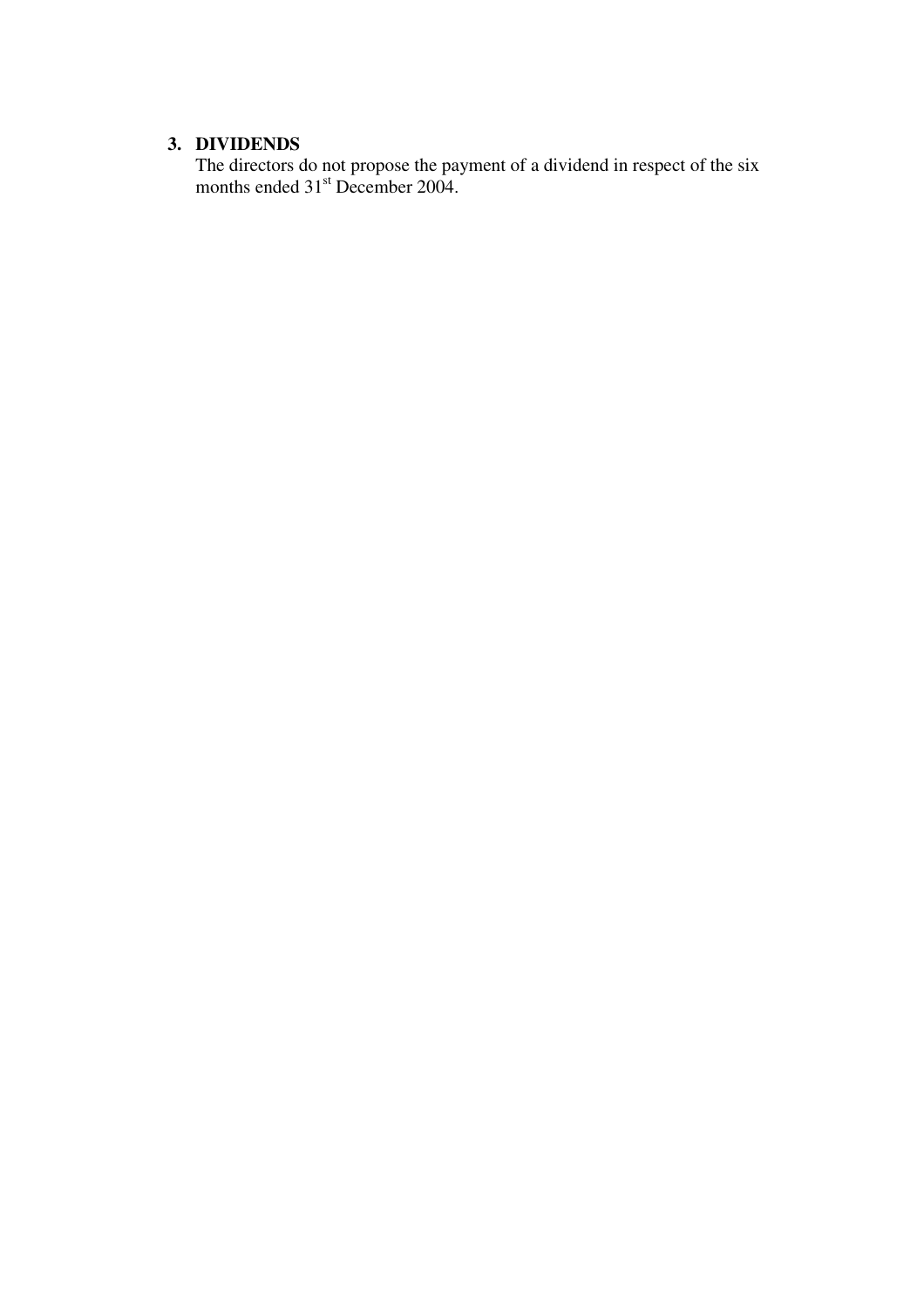## **3. DIVIDENDS**

The directors do not propose the payment of a dividend in respect of the six months ended 31<sup>st</sup> December 2004.